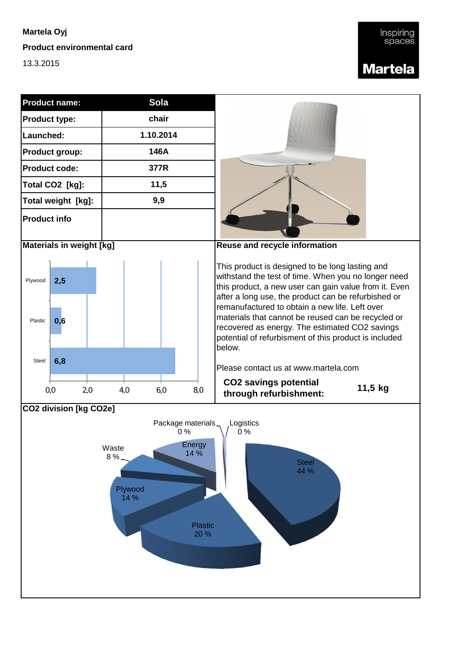**Product environmental card**

13.3.2015

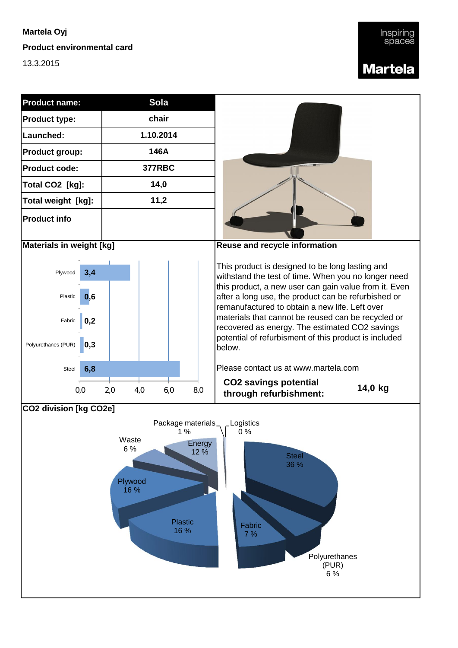**Product environmental card**

13.3.2015

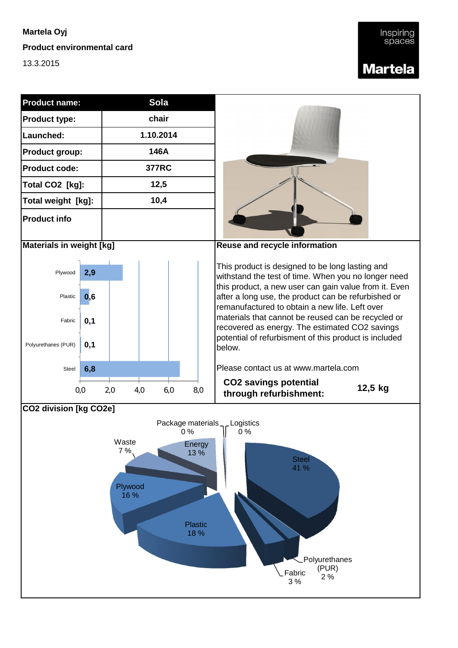**Product environmental card**

13.3.2015



**Polyurethanes** (PUR)

Fabric  $2\%$ 

3 %

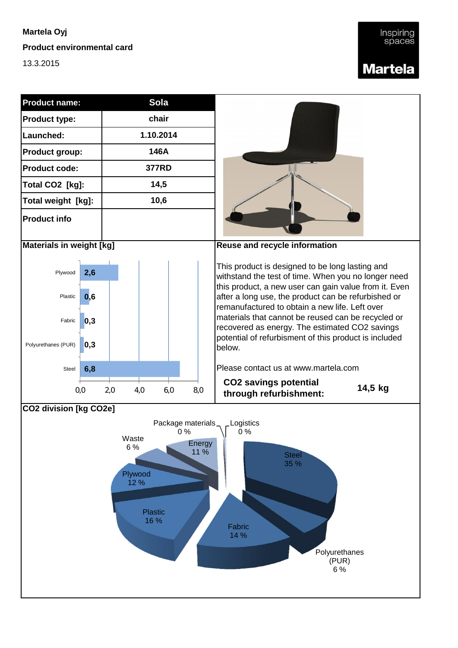**Product environmental card**

13.3.2015



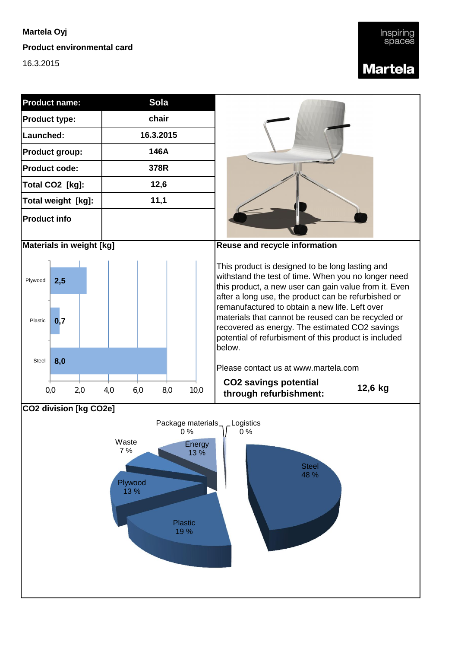**Product environmental card**

16.3.2015





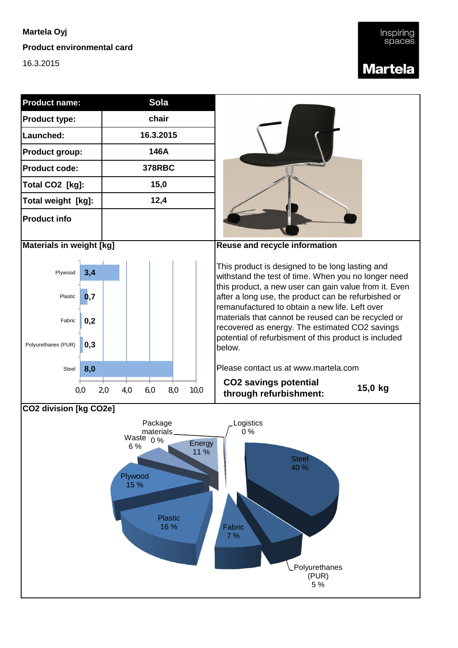**Product environmental card**

16.3.2015

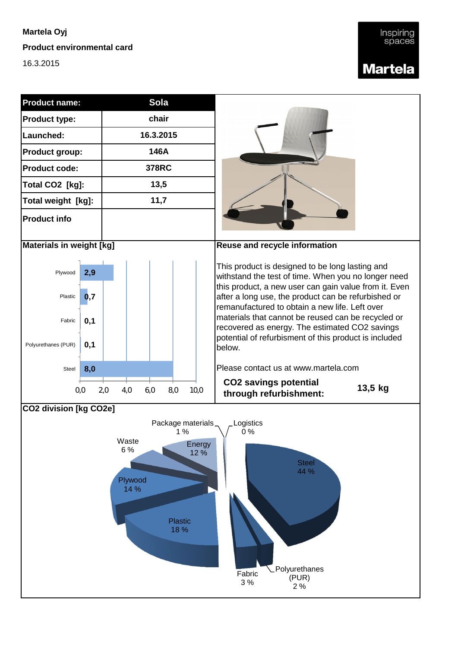**Product environmental card**

16.3.2015